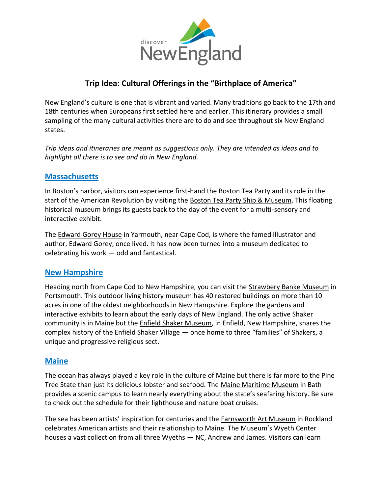

# **Trip Idea: Cultural Offerings in the "Birthplace of America"**

New England's culture is one that is vibrant and varied. Many traditions go back to the 17th and 18th centuries when Europeans first settled here and earlier. This itinerary provides a small sampling of the many cultural activities there are to do and see throughout six New England states.

*Trip ideas and itineraries are meant as suggestions only. They are intended as ideas and to highlight all there is to see and do in New England.*

## **[Massachusetts](https://www.massvacation.com/)**

In Boston's harbor, visitors can experience first-hand the Boston Tea Party and its role in the start of the American Revolution by visiting the [Boston Tea Party Ship & Museum.](https://marshallprcorp.sharepoint.com/Clients/DNE/Content/2021_02_04_WhatsNewNE.docx) This floating historical museum brings its guests back to the day of the event for a multi-sensory and interactive exhibit.

The [Edward Gorey House](https://www.visitma.com/business/1407/) in Yarmouth, near Cape Cod, is where the famed illustrator and author, Edward Gorey, once lived. It has now been turned into a museum dedicated to celebrating his work — odd and fantastical.

#### **[New Hampshire](https://www.visitnh.gov/)**

Heading north from Cape Cod to New Hampshire, you can visit the [Strawbery Banke Museum](https://www.visitnh.gov/attraction/9531/strawbery-banke-museum?ref=13084) in Portsmouth. This outdoor living history museum has 40 restored buildings on more than 10 acres in one of the oldest neighborhoods in New Hampshire. Explore the gardens and interactive exhibits to learn about the early days of New England. The only active Shaker community is in Maine but the [Enfield Shaker Museum,](https://shakermuseum.org/) in Enfield, New Hampshire, shares the complex history of the Enfield Shaker Village — once home to three "families" of Shakers, a unique and progressive religious sect.

# **[Maine](https://visitmaine.com/)**

The ocean has always played a key role in the culture of Maine but there is far more to the Pine Tree State than just its delicious lobster and seafood. The [Maine Maritime Museum](https://visitmaine.com/organization/maine-maritime-museum/5ba06cf3-7de8-4b49-8fcd-a9de7802cfb7) in Bath provides a scenic campus to learn nearly everything about the state's seafaring history. Be sure to check out the schedule for their lighthouse and nature boat cruises.

The sea has been artists' inspiration for centuries and the [Farnsworth Art Museum](https://www.farnsworthmuseum.org/) in Rockland celebrates American artists and their relationship to Maine. The Museum's Wyeth Center houses a vast collection from all three Wyeths — NC, Andrew and James. Visitors can learn